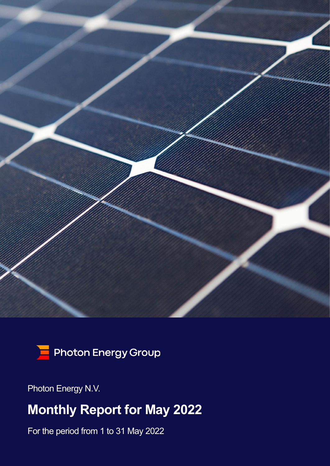



Photon Energy N.V.

# **Monthly Report for May 2022**

For the period from 1 to 31 May 2022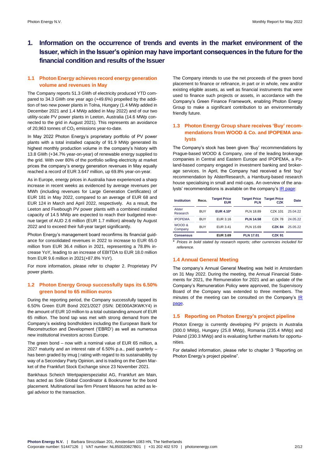# **1. Information on the occurrence of trends and events in the market environment of the Issuer, which in the Issuer's opinion may have important consequences in the future for the financial condition and results of the Issuer**

#### **1.1 Photon Energy achieves record energy generation volume and revenues in May**

The Company reports 51.3 GWh of electricity produced YTD compared to 34.3 GWh one year ago (+49.6%) propelled by the addition of two new power plants in Tolna, Hungary (1.4 MWp added in December 2021 and 1.4 MWp added in May 2022) and of our two utility-scale PV power plants in Leeton, Australia (14.6 MWp connected to the grid in August 2021). This represents an avoidance of 20,963 tonnes of  $CO<sub>2</sub>$  emissions year-to-date.

In May 2022 Photon Energy's proprietary portfolio of PV power plants with a total installed capacity of 91.9 MWp generated its highest monthly production volume in the company's history with 13.8 GWh (+34.7% year-on-year) of renewable energy supplied to the grid. With over 80% of the portfolio selling electricity at market prices the company's energy generation revenues in May equally reached a record of EUR 3.647 million, up 69.8% year-on-year.

As in Europe, energy prices in Australia have experienced a sharp increase in recent weeks as evidenced by average revenues per MWh (including revenues for Large Generation Certificates) of EUR 181 in May 2022, compared to an average of EUR 68 and EUR 124 in March and April 2022, respectively. As a result, the Leeton and Fivebough PV power plants with a combined installed capacity of 14.5 MWp are expected to reach their budgeted revenue target of AUD 2.6 million (EUR 1.7 million) already by August 2022 and to exceed their full-year target significantly.

Photon Energy's management board reconfirms its financial guidance for consolidated revenues in 2022 to increase to EUR 65.0 million from EUR 36.4 million in 2021, representing a 78.8% increase YoY, leading to an increase of EBITDA to EUR 18.0 million from EUR 9.6 million in 2021(+87.8% YoY).

For more information, please refer to chapter 2. Proprietary PV power plants.

#### **1.2 Photon Energy Group successfully taps its 6.50% green bond to 65 million euros**

During the reporting period, the Company successfully tapped its 6.50% Green EUR Bond 2021/2027 (ISIN: DE000A3KWKY4) in the amount of EUR 10 million to a total outstanding amount of EUR 65 million. The bond tap was met with strong demand from the Company's existing bondholders including the European Bank for Reconstruction and Development ('EBRD') as well as numerous new institutional investors across Europe.

The green bond – now with a nominal value of EUR 65 million, a 2027 maturity and an interest rate of 6.50% p.a., paid quarterly – has been graded by imug | rating with regard to its sustainability by way of a Secondary Party Opinion, and is trading on the Open Market of the Frankfurt Stock Exchange since 23 November 2021.

Bankhaus Scheich Wertpapierspezialist AG, Frankfurt am Main, has acted as Sole Global Coordinator & Bookrunner for the bond placement. Multinational law firm Pinsent Masons has acted as legal advisor to the transaction.

The Company intends to use the net proceeds of the green bond placement to finance or refinance, in part or in whole, new and/or existing eligible assets, as well as financial instruments that were used to finance such projects or assets, in accordance with the Company's Green Finance Framework, enabling Photon Energy Group to make a significant contribution to an environmentally friendly future.

## **1.3 Photon Energy Group share receives 'Buy' recommendations from WOOD & Co. and IPOPEMA analysts**

The Company's stock has been given 'Buy' recommendations by Prague-based WOOD & Company, one of the leading brokerage companies in Central and Eastern Europe and IPOPEMA, a Poland-based company engaged in investment banking and brokerage services. In April, the Company had received a first 'buy' recommendation by AlsterResearch, a Hamburg-based research house specialising in small and mid-caps. An overview of the analysts' recommendations is available on the company'[s IR page:](https://www.photonenergy.com/en/investor-relations.html) 

| <b>Institution</b> | Reco.      | <b>Target Price</b><br><b>EUR</b> | <b>Target Price</b><br><b>PLN</b> | <b>Target Price</b><br>CZK | Date     |
|--------------------|------------|-----------------------------------|-----------------------------------|----------------------------|----------|
| Alster<br>Research | <b>BUY</b> | <b>EUR 4.10*</b>                  | <b>PLN 18.89</b>                  | CZK 101                    | 25.04.22 |
| <b>IPOPEMA</b>     | <b>BUY</b> | EUR 3.16                          | <b>PLN 14.58</b>                  | CZK 78                     | 24.05.22 |
| WOOD &<br>Company  | <b>BUY</b> | EUR 3.41                          | PLN 15.69                         | <b>CZK 84</b>              | 25.05.22 |
| <b>Consensus</b>   |            | <b>EUR 3.69</b>                   | <b>PLN 17.01</b>                  | <b>CZK 91</b>              |          |

\* *Prices in bold stated by research reports; other currencies included for reference.*

#### **1.4 Annual General Meeting**

The company's Annual General Meeting was held in Amsterdam on 31 May 2022. During the meeting, the Annual Financial Statements for 2021, the Remuneration for 2021 and an update of the Company's Remuneration Policy were approved, the Supervisory Board of the Company was extended to three members. The minutes of the meeting can be consulted on the Company's  $IR$ [page.](https://www.photonenergy.com/uploads/investors/agm-2022/penv-minutes-of-the-agm-held-on-31-may-2022.pdf) 

#### **1.5 Reporting on Photon Energy's project pipeline**

Photon Energy is currently developing PV projects in Australia (300.0 MWp), Hungary (25.8 MWp), Romania (235.4 MWp) and Poland (230.3 MWp) and is evaluating further markets for opportunities.

For detailed information, please refer to chapter 3 "Reporting on Photon Energy's project pipeline".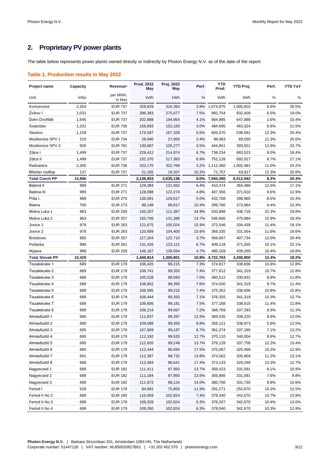# **2. Proprietary PV power plants**

The table below represents power plants owned directly or indirectly by Photon Energy N.V. as of the date of the report.

#### **Table 1. Production results in May 2022**

| <b>Project name</b>    | <b>Capacity</b> | Revenue <sup>1</sup> | <b>Prod. 2022</b><br><b>May</b> | Proj. 2022<br>May | Perf. | <b>YTD</b><br>Prod. | <b>YTD Proj.</b> | Perf. | <b>YTD YoY</b> |
|------------------------|-----------------|----------------------|---------------------------------|-------------------|-------|---------------------|------------------|-------|----------------|
| Unit                   | kWp             | per MWh,<br>in May   | kWh                             | kWh               | %     | kWh                 | kWh              | %     | %              |
| Komorovice             | 2,354           | <b>EUR 737</b>       | 328,629                         | 316,393           | 3.9%  | 1,074,975           | 1,005,810        | 6.9%  | 26.5%          |
| Zvíkov I               | 2,031           | <b>EUR 737</b>       | 296,383                         | 275,677           | 7.5%  | 992,754             | 932,409          | 6.5%  | 19.0%          |
| Dolní Dvořiště         | 1,645           | <b>EUR 737</b>       | 202,888                         | 194,954           | 4.1%  | 664,985             | 647,888          | 2.6%  | 10.4%          |
| Svatoslav              | 1,231           | <b>EUR 736</b>       | 156,693                         | 152,183           | 3.0%  | 494,695             | 463,324          | 6.8%  | 21.5%          |
| Slavkov                | 1,159           | <b>EUR 737</b>       | 176,597                         | 167,328           | 5.5%  | 604,570             | 538,591          | 12.3% | 20.4%          |
| Mostkovice SPV 1       | 210             | <b>EUR 734</b>       | 28,940                          | 27,993            | 3.4%  | 99,083              | 89,050           | 11.3% | 25.6%          |
| Mostkovice SPV 3       | 926             | <b>EUR 781</b>       | 130,687                         | 126,277           | 3.5%  | 444,851             | 393,921          | 12.9% | 23.7%          |
| Zdice I                | 1,499           | <b>EUR 737</b>       | 229,412                         | 214,974           | 6.7%  | 738,234             | 683,523          | 8.0%  | 18.4%          |
| Zdice II               | 1,499           | <b>EUR 737</b>       | 232,370                         | 217,383           | 6.9%  | 752,128             | 692,027          | 8.7%  | 17.1%          |
| Radvanice              | 2,305           | <b>EUR 736</b>       | 333,170                         | 322,769           |       | 3.2% 1,112,360      | 1,002,481        | 11.0% | 24.2%          |
| Břeclav rooftop        | 137             | <b>EUR 737</b>       | 21,165                          | 19,207            | 10.2% | 71,757              | 63,917           | 12.3% | 20.8%          |
| <b>Total Czech PP</b>  | 14,996          |                      | 2,136,933                       | 2,035,136         | 5.0%  | 7,050,390           | 6,512,942        | 8.3%  | 20.4%          |
| Babiná II              | 999             | <b>EUR 271</b>       | 129,384                         | 121,562           | 6.4%  | 410,474             | 364,489          | 12.6% | 17.1%          |
| Babina III             | 999             | <b>EUR 271</b>       | 128,098                         | 122,274           | 4.8%  | 407,356             | 371,610          | 9.6%  | 12.9%          |
| Prša I.                | 999             | <b>EUR 270</b>       | 136,091                         | 129,617           | 5.0%  | 432,768             | 398,965          | 8.5%  | 15.4%          |
| Blatna                 | 700             | <b>EUR 273</b>       | 99,148                          | 89,817            | 10.4% | 299,766             | 273,964          | 9.4%  | 15.3%          |
| Mokra Luka 1           | 963             | <b>EUR 258</b>       | 150,207                         | 111,387           | 34.9% | 533,898             | 436,718          | 22.3% | 19.8%          |
| Mokra Luka 2           | 963             | <b>EUR 257</b>       | 150,706                         | 131,396           | 14.7% | 545,666             | 470,984          | 15.9% | 19.3%          |
| Jovice 1               | 979             | <b>EUR 263</b>       | 121,675                         | 105,024           | 15.9% | 372,546             | 334,439          | 11.4% | 19.1%          |
| Jovice 2               | 979             | <b>EUR 263</b>       | 120,689                         | 104,400           | 15.6% | 369,335             | 331,054          | 11.6% | 18.6%          |
| <b>Brestovec</b>       | 850             | <b>EUR 257</b>       | 127,204                         | 122,710           | 3.7%  | 456,667             | 407,734          | 12.0% | 20.4%          |
| Polianka               | 999             | <b>EUR 261</b>       | 131,426                         | 123,121           | 6.7%  | 409,118             | 371,555          | 10.1% | 22.1%          |
| Myjava                 | 999             | <b>EUR 259</b>       | 146,187                         | 139,594           | 4.7%  | 485,169             | 439,289          | 10.4% | 18.8%          |
| <b>Total Slovak PP</b> | 10,429          |                      | 1,440,814                       | 1,300,901         | 10.8% | 4,722,763           | 4,200,800        | 12.4% | 18.2%          |
| Tiszakécske 1          | 689             | <b>EUR 179</b>       | 106,420                         | 99,215            | 7.3%  | 374,917             | 338,836          | 10.6% | 12.8%          |
| Tiszakécske 2          | 689             | <b>EUR 179</b>       | 106,741                         | 99,350            | 7.4%  | 377,812             | 341,319          | 10.7% | 12.8%          |
| Tiszakécske 3          | 689             | <b>EUR 179</b>       | 105,528                         | 98,583            | 7.0%  | 360,512             | 330,932          | 8.9%  | 11.8%          |
| Tiszakécske 4          | 689             | <b>EUR 179</b>       | 106,852                         | 99,350            | 7.6%  | 374,500             | 341,319          | 9.7%  | 11.4%          |
| Tiszakécske 5          | 689             | <b>EUR 179</b>       | 106,595                         | 99,215            | 7.4%  | 375,352             | 338,836          | 10.8% | 15.8%          |
| Tiszakécske 6          | 689             | <b>EUR 179</b>       | 106,444                         | 99,350            | 7.1%  | 376,355             | 341,319          | 10.3% | 12.7%          |
| Tiszakécske 7          | 689             | <b>EUR 179</b>       | 106,606                         | 99,181            | 7.5%  | 377,168             | 338,615          | 11.4% | 12.8%          |
| Tiszakécske 8          | 689             | <b>EUR 179</b>       | 106,214                         | 99,067            | 7.2%  | 368,769             | 337,393          | 9.3%  | 11.3%          |
| Almásfüzitő 1          | 695             | <b>EUR 179</b>       | 111,837                         | 99,397            | 12.5% | 369,535             | 339,220          | 8.9%  | 13.0%          |
| Almásfüzitő 2          | 695             | <b>EUR 179</b>       | 109,098                         | 99,356            | 9.8%  | 358,121             | 338,973          | 5.6%  | 12.5%          |
| Almásfüzitő 3          | 695             | <b>EUR 179</b>       | 107,809                         | 99,197            | 8.7%  | 361,274             | 337,180          | 7.1%  | 13.2%          |
| Almásfüzitő 4          | 695             | <b>EUR 179</b>       | 112,192                         | 99,520            | 12.7% | 370,110             | 340,004          | 8.9%  | 12.7%          |
| Almásfüzitő 5          | 695             | <b>EUR 179</b>       | 112,820                         | 99,249            | 13.7% | 379,128             | 337,758          | 12.2% | 13.4%          |
| Almásfüzitő 6          | 660             | <b>EUR 179</b>       | 112,444                         | 95,693            | 17.5% | 375,067             | 325,469          | 15.2% | 12.9%          |
| Almásfüzitő 7          | 691             | <b>EUR 179</b>       | 112,387                         | 98,732            | 13.8% | 373,562             | 335,859          | 11.2% | 13.1%          |
| Almásfüzitő 8          | 668             | <b>EUR 179</b>       | 113,484                         | 96,641            | 17.4% | 373,133             | 329,249          | 13.3% | 12.7%          |
| Nagyecsed 1            | 689             | <b>EUR 182</b>       | 111,411                         | 97,950            | 13.7% | 358,423             | 331,591          | 8.1%  | 10.9%          |
| Nagyecsed 2            | 689             | <b>EUR 182</b>       | 111,184                         | 97,950            | 13.5% | 356,886             | 331,591          | 7.6%  | 9.8%           |
| Nagyecsed 3            | 689             | <b>EUR 182</b>       | 111,872                         | 98,124            | 14.0% | 360,756             | 331,730          | 8.8%  | 10.6%          |
| Fertod I               | 528             | <b>EUR 178</b>       | 84,891                          | 75,850            | 11.9% | 291,271             | 252,870          | 15.2% | 12.5%          |
| Fertod II No 2         | 699             | <b>EUR 180</b>       | 110,459                         | 102,824           | 7.4%  | 379,340             | 342,670          | 10.7% | 13.9%          |
| Fertod II No 3         | 699             | <b>EUR 179</b>       | 109,328                         | 102,824           | 6.3%  | 378,207             | 342,670          | 10.4% | 13.0%          |
| Fertod II No 4         | 699             | <b>EUR 179</b>       | 109,350                         | 102,824           | 6.3%  | 378,040             | 342,670          | 10.3% | 12.9%          |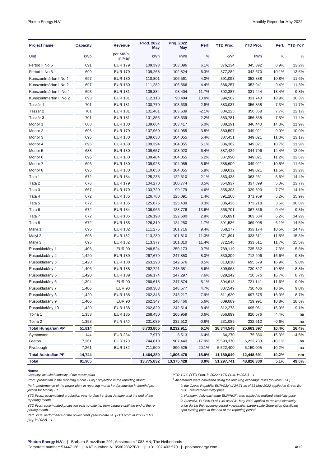| <b>Project name</b>        | <b>Capacity</b> | <b>Revenue</b>     | Prod. 2022<br>May | Proj. 2022<br>May | Perf.    | <b>YTD Prod.</b> | <b>YTD Proj.</b> |          | Perf. YTD YoY |
|----------------------------|-----------------|--------------------|-------------------|-------------------|----------|------------------|------------------|----------|---------------|
| Unit                       | kWp             | per MWh.<br>in May | kWh               | kWh               | %        | kWh              | kWh              | %        | %             |
| Fertod II No 5             | 691             | <b>EUR 179</b>     | 109,393           | 103,096           | 6.1%     | 376,134          | 345,392          | 8.9%     | 13.2%         |
| Fertod II No 6             | 699             | <b>EUR 179</b>     | 109,268           | 102,824           | 6.3%     | 377,282          | 342,670          | 10.1%    | 13.5%         |
| Kunszentmárton I No 1      | 697             | <b>EUR 180</b>     | 110,801           | 106,561           | 4.0%     | 391,098          | 352,888          | 10.8%    | 11.6%         |
| Kunszentmárton I No 2      | 697             | <b>EUR 180</b>     | 111,282           | 106,566           | 4.4%     | 386,257          | 352,941          | 9.4%     | 11.3%         |
| Kunszentmárton II No 1     | 693             | <b>EUR 181</b>     | 109,884           | 98,404            | 11.7%    | 392,387          | 331,444          | 18.4%    | 9.8%          |
| Kunszentmárton II No 2     | 693             | <b>EUR 181</b>     | 112,118           | 98,404            | 13.9%    | 394,562          | 331,740          | 18.9%    | 10.3%         |
| Taszár 1                   | 701             | <b>EUR 181</b>     | 100,770           | 103,639           | $-2.8%$  | 383,037          | 356,858          | 7.3%     | 11.7%         |
| Taszár 2                   | 701             | <b>EUR 181</b>     | 101,461           | 103,639           | $-2.1%$  | 384,225          | 356,858          | 7.7%     | 12.1%         |
| Taszár 3                   | 701             | <b>EUR 181</b>     | 101,355           | 103,639           | $-2.2%$  | 383,781          | 356,858          | 7.5%     | 11.4%         |
| Monor 1                    | 688             | <b>EUR 180</b>     | 109,664           | 103,417           | 6.0%     | 388,191          | 340,440          | 14.0%    | 11.9%         |
| Monor 2                    | 696             | <b>EUR 179</b>     | 107,960           | 104,055           | 3.8%     | 380,597          | 349,021          | 9.0%     | 10.0%         |
| Monor 3                    | 696             | <b>EUR 180</b>     | 109,638           | 104,055           | 5.4%     | 387,451          | 349,021          | 11.0%    | 13.1%         |
| Monor 4                    | 696             | <b>EUR 180</b>     | 109,394           | 104,055           | 5.1%     | 386,362          | 349,021          | 10.7%    | 11.9%         |
| Monor 5                    | 688             | <b>EUR 180</b>     | 109,657           | 103,020           | 6.4%     | 387,429          | 344,796          | 12.4%    | 12.0%         |
| Monor <sub>6</sub>         | 696             | <b>EUR 180</b>     | 109,484           | 104,055           | 5.2%     | 387,990          | 349,021          | 11.2%    | 12.6%         |
| Monor 7                    | 696             | <b>EUR 180</b>     | 109,923           | 104,055           | 5.6%     | 385,609          | 349,021          | 10.5%    | 11.6%         |
| Monor 8                    | 696             | <b>EUR 180</b>     | 110,050           | 104,055           | 5.8%     | 389,012          | 349,021          | 11.5%    | 13.2%         |
| Tata 1                     | 672             | <b>EUR 184</b>     | 125,233           | 122,610           | 2.1%     | 383,438          | 363,261          | 5.6%     | 14.4%         |
| Tata 2                     | 676             | <b>EUR 179</b>     | 104,270           | 100,774           | 3.5%     | 354,937          | 337,899          | 5.0%     | 13.7%         |
| Tata 3                     | 667             | <b>EUR 179</b>     | 103,720           | 99,179            | 4.6%     | 355,308          | 329,893          | 7.7%     | 14.1%         |
| Tata 4                     | 672             | <b>EUR 185</b>     | 126,780           | 125,091           | 1.4%     | 391,268          | 371,959          | 5.2%     | 15.9%         |
| Tata 5                     | 672             | <b>EUR 185</b>     | 125,876           | 125,439           | 0.3%     | 386,426          | 373,218          | 3.5%     | 30.8%         |
| Tata 6                     | 672             | <b>EUR 184</b>     | 106,966           | 123,776           | $-13.6%$ | 368,701          | 367,366          | 0.4%     | 9.3%          |
| Tata 7                     | 672             | <b>EUR 185</b>     | 126,193           | 122,680           | 2.9%     | 385,891          | 363,504          | 6.2%     | 14.2%         |
| Tata 8                     | 672             | <b>EUR 185</b>     | 126,319           | 124,250           | 1.7%     | 391,536          | 369,008          | 6.1%     | 14.5%         |
| Malyi 1                    | 695             | <b>EUR 182</b>     | 111,275           | 101,716           | 9.4%     | 368,177          | 333,174          | 10.5%    | 14.4%         |
| Malyi 2                    | 695             | <b>EUR 182</b>     | 113,289           | 101,810           | 11.3%    | 371,891          | 333,611          | 11.5%    | 15.3%         |
| Malyi 3                    | 695             | <b>EUR 182</b>     | 113,377           | 101,810           | 11.4%    | 372,548          | 333,611          | 11.7%    | 15.5%         |
| Puspokladány 1             | 1,406           | <b>EUR 90</b>      | 248,524           | 250,173           | $-0.7%$  | 789,119          | 735,562          | 7.3%     | 5.8%          |
| Puspokladány 2             | 1,420           | <b>EUR 189</b>     | 267,679           | 247,850           | 8.0%     | 830,309          | 712,206          | 16.6%    | 9.8%          |
| Puspokladány 3             | 1,420           | <b>EUR 188</b>     | 263,298           | 242,676           | 8.5%     | 813,010          | 695,679          | 16.9%    | 9.0%          |
| Puspokladány 4             | 1,406           | <b>EUR 188</b>     | 262,721           | 248,681           | 5.6%     | 809,968          | 730,827          | 10.8%    | 8.8%          |
| Puspokladány 5             | 1,420           | <b>EUR 189</b>     | 266,174           | 247,297           | 7.6%     | 829,242          | 710,576          | 16.7%    | 8.7%          |
| Puspokladány 6             | 1,394           | <b>EUR 90</b>      | 260,618           | 247,874           | 5.1%     | 804,613          | 721,141          | 11.6%    | 9.0%          |
| Puspokladány 7             | 1,406           | EUR 90             | 260,363           | 248,577           | 4.7%     | 807,549          | 730,406          | 10.6%    | 9.0%          |
| Puspokladány 8             | 1,420           | EUR 188            | 262,348           | 243,217           | 7.9%     | 811,620          | 697,675          | 16.3%    | 8.7%          |
| Puspokladány 9             | 1,406           | <b>EUR 90</b>      | 262,347           | 248,466           | 5.6%     | 809,089          | 729,991          | 10.8%    | 18.6%         |
| Puspokladány 10            | 1,420           | <b>EUR 188</b>     | 262,829           | 242,514           | 8.4%     | 812,278          | 695,061          | 16.9%    | 9.1%          |
| Tolna 1                    | 1,358           | <b>EUR 185</b>     | 268,450           | 266,959           | 0.6%     | 856,899          | 820,676          | 4.4%     | na            |
| Tolna 2                    | 1,358           | <b>EUR 182</b>     | 231,089           | 232,512           | $-0.6%$  | 231,089          | 232,512          | $-0.6%$  | na            |
| <b>Total Hungarian PP</b>  | 51,814          |                    | 8,733,805         | 8,232,911         | 6.1%     | 28,344,548       | 25,663,897       | 10.4%    | 16.4%         |
| Symonston                  | 144             | <b>EUR 234</b>     | 7,970             | 8,513             | -6.4%    | 64,270           | 75,866           | $-15.3%$ | -14.6%        |
| Leeton                     | 7,261           | <b>EUR 178</b>     | 744,810           | 907,440           | $-17.9%$ | 5,593,370        | 6,222,730        | $-10.1%$ | na            |
| Fivebough                  | 7,261           | <b>EUR 182</b>     | 711,500           | 890,525           | $-20.1%$ | 5,522,400        | 6,150,095        | $-10.2%$ | na            |
| <b>Total Australian PP</b> | 14,744          |                    | 1,464,280         | 1,806,478         | -18.9%   | 11,180,040       | 12,448,691       | $-10.2%$ | nm            |
| Total                      | 91,905          |                    | 13,775,832        | 13,375,428        | $3.0\%$  | 51,297,741       | 48,826,330       | 5.1%     | 49.6%         |

**Notes:**  *Capacity: installed capacity of the power plant*

*Prod.: production in the reporting month - Proj.: projection in the reporting month Perf.: performance of the power plant in reporting month i.e. (production in Month / projection for Month) - 1.*

*YTD Prod.: accumulated production year-to-date i.e. from January until the end of the reporting month.* 

*YTD Proj.: accumulated projection year-to-date i.e. from January until the end of the reporting month.*

*Perf. YTD: performance of the power plant year-to-date i.e. (YTD prod. in 2022 / YTD proj. in 2022) – 1.*

*YTD YOY: (YTD Prod. in 2022 / YTD Prod. in 2021) – 1.* 

*<sup>1</sup> All amounts were converted using the following exchange rates (sources ECB):*  - *in the Czech Republic: EUR/CZK of 24.71 as of 31 May 2022 applied to Green Bonus + realized electricity price.*

- *in Hungary, daily exchange EUR/HUF rates applied to realized electricity price.*

- *in Australia, EUR/AUD of 1.49 as of 31 May 2022 applied to realized electricity price during the reporting period + Australian Large-scale Generation Certificate spot closing price at the end of the reporting period.*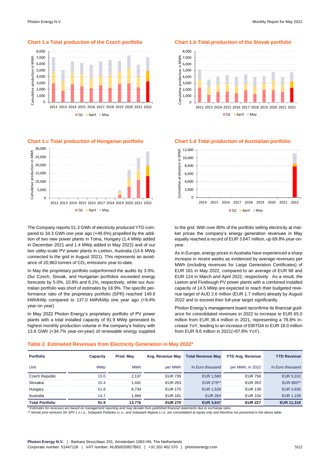

 $\Box$ Q1 April  $\Box$ May

**Chart 1.c Total production of Hungarian portfolio Chart 1.d Total production of Australian portfolio**



The Company reports 51.3 GWh of electricity produced YTD compared to 34.3 GWh one year ago (+49.6%) propelled by the addition of two new power plants in Tolna, Hungary (1.4 MWp added in December 2021 and 1.4 MWp added in May 2022) and of our two utility-scale PV power plants in Leeton, Australia (14.6 MWp connected to the grid in August 2021). This represents an avoidance of 20,963 tonnes of  $CO<sub>2</sub>$  emissions year-to-date.

In May the proprietary portfolio outperformed the audits by 3.0%. Our Czech, Slovak, and Hungarian portfolios exceeded energy forecasts by 5.0%, 10.8% and 6.1%, respectively, while our Australian portfolio was short of estimates by 18.9%. The specific performance ratio of the proprietary portfolio (SPR) reached 149.9 kWh/kWp compared to 137.0 kWh/kWp one year ago (+9.4% year-on year).

In May 2022 Photon Energy's proprietary portfolio of PV power plants with a total installed capacity of 91.9 MWp generated its highest monthly production volume in the company's history with 13.8 GWh (+34.7% year-on-year) of renewable energy supplied

**Chart 1.a Total production of the Czech portfolio Chart 1.b Total production of the Slovak portfolio**





to the grid. With over 80% of the portfolio selling electricity at market prices the company's energy generation revenues in May equally reached a record of EUR 3.647 million, up 69.8% year-onyear.

As in Europe, energy prices in Australia have experienced a sharp increase in recent weeks as evidenced by average revenues per MWh (including revenues for Large Generation Certificates) of EUR 181 in May 2022, compared to an average of EUR 68 and EUR 124 in March and April 2022, respectively. As a result, the Leeton and Fivebough PV power plants with a combined installed capacity of 14.5 MWp are expected to reach their budgeted revenue target of AUD 2.6 million (EUR 1.7 million) already by August 2022 and to exceed their full-year target significantly.

Photon Energy's management board reconfirms its financial guidance for consolidated revenues in 2022 to increase to EUR 65.0 million from EUR 36.4 million in 2021, representing a 78.8% increase YoY, leading to an increase of EBITDA to EUR 18.0 million from EUR 9.6 million in 2021(+87.8% YoY).

#### **Table 2. Estimated Revenues from Electricity Generation in May 2022\***

| <b>Portfolio</b>       | Capacity   | Prod. May  | Avg. Revenue May | <b>Total Revenue May</b> | <b>YTD Avg. Revenue</b> | <b>YTD Revenue</b> |
|------------------------|------------|------------|------------------|--------------------------|-------------------------|--------------------|
| Unit                   | <b>MWp</b> | <b>MWh</b> | per MWh          | In Euro thousand         | per MWh, in 2022        | In Euro thousand   |
| Czech Republic         | 15.0       | 2.137      | <b>EUR 739</b>   | EUR 1,580                | <b>EUR 756</b>          | EUR 5,332          |
| Slovakia               | 10.4       | .441       | <b>EUR 263</b>   | EUR 275**                | <b>EUR 263</b>          | EUR 893**          |
| Hungary                | 51.8       | 8.734      | <b>EUR 175</b>   | <b>EUR 1,528</b>         | <b>EUR 139</b>          | EUR 3,936          |
| Australia              | 14.7       | .464       | <b>EUR 181</b>   | <b>EUR 264</b>           | <b>EUR 104</b>          | EUR 1,158          |
| <b>Total Portfolio</b> | 91.9       | 13.776     | <b>EUR 270</b>   | <b>EUR 3,647</b>         | <b>EUR 227</b>          | <b>EUR 11,318</b>  |

*\* Estimates for revenues are based on management reporting and may deviate from published financial statements due to exchange rates.* 

\*\* Slovak joint-ventures SK SPV 1 s.r.o., Solarpark Polianka s.r.o., and Solarpark Myjava s.r.o. are consolidated at equity only and therefore not presented in the above table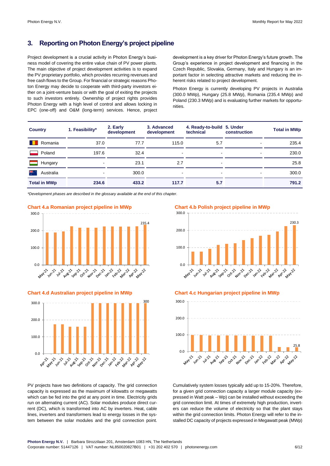# **3. Reporting on Photon Energy's project pipeline**

Project development is a crucial activity in Photon Energy's business model of covering the entire value chain of PV power plants. The main objective of project development activities is to expand the PV proprietary portfolio, which provides recurring revenues and free cash flows to the Group. For financial or strategic reasons Photon Energy may decide to cooperate with third-party investors either on a joint-venture basis or with the goal of exiting the projects to such investors entirely. Ownership of project rights provides Photon Energy with a high level of control and allows locking in EPC (one-off) and O&M (long-term) services. Hence, project development is a key driver for Photon Energy's future growth. The Group's experience in project development and financing in the Czech Republic, Slovakia, Germany, Italy and Hungary is an important factor in selecting attractive markets and reducing the inherent risks related to project development.

Photon Energy is currently developing PV projects in Australia (300.0 MWp), Hungary (25.8 MWp), Romania (235.4 MWp) and Poland (230.3 MWp) and is evaluating further markets for opportunities.

| <b>Country</b>      | 1. Feasibility*          | 2. Early<br>development | 3. Advanced<br>development | 4. Ready-to-build 5. Under<br>technical | construction   | <b>Total in MWp</b> |
|---------------------|--------------------------|-------------------------|----------------------------|-----------------------------------------|----------------|---------------------|
| Romania             | 37.0                     | 77.7                    | 115.0                      | 5.7                                     | ٠              | 235.4               |
| Poland              | 197.6                    | 32.4                    | ۰                          | ٠                                       | ۰              | 230.0               |
| Hungary             |                          | 23.1                    | 2.7                        | $\blacksquare$                          |                | 25.8                |
| ैँ<br>Australia     | $\overline{\phantom{a}}$ | 300.0                   | $\blacksquare$             | $\blacksquare$                          | $\blacksquare$ | 300.0               |
| <b>Total in MWp</b> | 234.6                    | 433.2                   | 117.7                      | 5.7                                     |                | 791.2               |

*\*Development phases are described in the glossary available at the end of this chapter.*



**Chart 4.d Australian project pipeline in MWp Chart 4.c Hungarian project pipeline in MWp**



PV projects have two definitions of capacity. The grid connection capacity is expressed as the maximum of kilowatts or megawatts which can be fed into the grid at any point in time. Electricity grids run on alternating current (AC). Solar modules produce direct current (DC), which is transformed into AC by inverters. Heat, cable lines, inverters and transformers lead to energy losses in the system between the solar modules and the grid connection point.





Cumulatively system losses typically add up to 15-20%. Therefore, for a given grid connection capacity a larger module capacity (expressed in Watt peak – Wp) can be installed without exceeding the grid connection limit. At times of extremely high production, inverters can reduce the volume of electricity so that the plant stays within the grid connection limits. Photon Energy will refer to the installed DC capacity of projects expressed in Megawatt peak (MWp)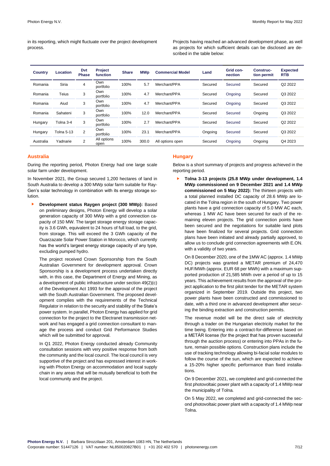in its reporting, which might fluctuate over the project development process.

Projects having reached an advanced development phase, as well as projects for which sufficient details can be disclosed are described in the table below:

| <b>Country</b> | Location          | Dyt<br><b>Phase</b> | <b>Project</b><br>function | <b>Share</b> | <b>MWp</b> | <b>Commercial Model</b> | Land    | Grid con-<br>nection | Construc-<br>tion permit | <b>Expected</b><br><b>RTB</b> |
|----------------|-------------------|---------------------|----------------------------|--------------|------------|-------------------------|---------|----------------------|--------------------------|-------------------------------|
| Romania        | Siria             | 4                   | Own<br>portfolio           | 100%         | 5.7        | Merchant/PPA            | Secured | Secured              | Secured                  | Q2 2022                       |
| Romania        | <b>Teius</b>      | 3                   | Own<br>portfolio           | 100%         | 4.7        | Merchant/PPA            | Secured | Ongoing              | Secured                  | Q3 2022                       |
| Romania        | Aiud              | 3                   | Own<br>portfolio           | 100%         | 4.7        | Merchant/PPA            | Secured | Ongoing              | Secured                  | Q3 2022                       |
| Romania        | Sahateni          | 3                   | Own<br>portfolio           | 100%         | 12.0       | Merchant/PPA            | Secured | Secured              | Ongoing                  | Q3 2022                       |
| Hungary        | Tolna 3-4         | 3                   | Own<br>portfolio           | 100%         | 2.7        | Merchant/PPA            | Secured | Secured              | Secured                  | Q2 2022                       |
| Hungary        | <b>Tolna 5-13</b> | $\overline{2}$      | Own<br>portfolio           | 100%         | 23.1       | Merchant/PPA            | Ongoing | Secured              | Secured                  | Q3 2022                       |
| Australia      | Yadnarie          | $\overline{2}$      | All options<br>open        | 100%         | 300.0      | All options open        | Secured | Ongoing              | Ongoing                  | Q4 2023                       |

#### **Australia**

During the reporting period, Photon Energy had one large scale solar farm under development.

In November 2021, the Group secured 1,200 hectares of land in South Australia to develop a 300 MWp solar farm suitable for Ray-Gen's solar technology in combination with its energy storage solution.

► **Development status Raygen project (300 MWp):** Based on preliminary designs, Photon Energy will develop a solar generation capacity of 300 MWp with a grid connection capacity of 150 MW. The target storage energy storage capacity is 3.6 GWh, equivalent to 24 hours of full load, to the grid, from storage. This will exceed the 3 GWh capacity of the Ouarzazate Solar Power Station in Morocco, which currently has the world's largest energy storage capacity of any type, excluding pumped hydro.

The project received Crown Sponsorship from the South Australian Government for development approval. Crown Sponsorship is a development process undertaken directly with, in this case, the Department of Energy and Mining, as a development of public infrastructure under section 49(2)(c) of the Development Act 1993 for the approval of the project with the South Australian Government. The proposed development complies with the requirements of the Technical Regulator in relation to the security and stability of the State's power system. In parallel, Photon Energy has applied for grid connection for the project to the Electranet transmission network and has engaged a grid connection consultant to manage the process and conduct Grid Performance Studies which will be submitted for approval.

In Q1 2022, Photon Energy conducted already Community consultation sessions with very positive response from both the community and the local council. The local council is very supportive of the project and has expressed interest in working with Photon Energy on accommodation and local supply chain in any areas that will be mutually beneficial to both the local community and the project.

#### **Hungary**

Below is a short summary of projects and progress achieved in the reporting period.

► **Tolna 3-13 projects (25.8 MWp under development, 1.4 MWp commissioned on 9 December 2021 and 1.4 MWp commissioned on 5 May 2022):** The thirteen projects with a total planned installed DC capacity of 28.6 MWp are located in the Tolna region in the south of Hungary. Two power plants have a grid connection capacity of 5.0 MW AC each, whereas 1 MW AC have been secured for each of the remaining eleven projects. The grid connection points have been secured and the negotiations for suitable land plots have been finalized for several projects. Grid connection plans have been initiated and already partially approved, to allow us to conclude grid connection agreements with E.ON. with a validity of two years.

On 8 December 2020, one of the 1MW AC (approx. 1.4 MWp DC) projects was granted a METAR premium of 24,470 HUF/MWh (approx. EUR 68 per MWh) with a maximum supported production of 21,585 MWh over a period of up to 15 years. This achievement results from the approval of the project application to the first pilot tender for the METAR system organized in September 2019. Outside this project, two power plants have been constructed and commissioned to date, with a third one in advanced development after securing the binding extraction and construction permits.

The revenue model will be the direct sale of electricity through a trader on the Hungarian electricity market for the time being. Entering into a contract-for-difference based on a METÁR license (for the project that has proven successful through the auction process) or entering into PPAs in the future, remain possible options. Construction plans include the use of tracking technology allowing bi-facial solar modules to follow the course of the sun, which are expected to achieve a 15-20% higher specific performance than fixed installations.

On 9 December 2021, we completed and grid-connected the first photovoltaic power plant with a capacity of 1.4 MWp near the municipality of Tolna.

On 5 May 2022, we completed and grid-connected the second photovoltaic power plant with a capacity of 1.4 MWp near Tolna.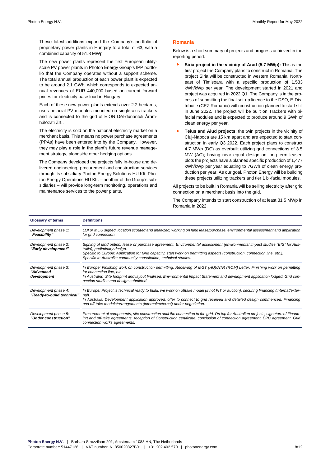These latest additions expand the Company's portfolio of proprietary power plants in Hungary to a total of 63, with a combined capacity of 51.8 MWp.

The new power plants represent the first European utilityscale PV power plants in Photon Energy Group's IPP portfolio that the Company operates without a support scheme. The total annual production of each power plant is expected to be around 2.1 GWh, which corresponds to expected annual revenues of EUR 440,000 based on current forward prices for electricity base load in Hungary.

Each of these new power plants extends over 2.2 hectares, uses bi-facial PV modules mounted on single-axis trackers and is connected to the grid of E.ON Dél-dunántúli Áramhálózati Zrt..

The electricity is sold on the national electricity market on a merchant basis. This means no power purchase agreements (PPAs) have been entered into by the Company. However, they may play a role in the plant's future revenue management strategy, alongside other hedging options.

The Company developed the projects fully in-house and delivered engineering, procurement and construction services through its subsidiary Photon Energy Solutions HU Kft. Photon Energy Operations HU Kft. – another of the Group's subsidiaries – will provide long-term monitoring, operations and maintenance services to the power plants.

#### **Romania**

Below is a short summary of projects and progress achieved in the reporting period.

- ► **Siria project in the vicinity of Arad (5.7 MWp):** This is the first project the Company plans to construct in Romania. The project Siria will be constructed in western Romania, Northeast of Timisoara with a specific production of 1,533 kWh/kWp per year. The development started in 2021 and project was acquired in 2022 Q1. The Company is in the process of submitting the final set-up licence to the DSO, E-Distributie (CEZ Romania) with construction planned to start still in June 2022. The project will be built on Trackers with bifacial modules and is expected to produce around 9 GWh of clean energy per year.
- **Teius and Aiud projects:** the twin projects in the vicinity of Cluj-Napoca are 15 km apart and are expected to start construction in early Q3 2022. Each project plans to construct 4.7 MWp (DC) as overbuilt utilizing grid connections of 3.5 MW (AC); having near equal design on long-term leased plots the projects have a planned specific production of 1,477 kWh/kWp per year equating to 7GWh of clean energy production per year. As our goal, Photon Energy will be building these projects utilizing trackers and tier 1 bi-facial modules.

All projects to be built in Romania will be selling electricity after grid connection on a merchant basis into the grid.

The Company intends to start construction of at least 31.5 MWp in Romania in 2022.

| <b>Glossary of terms</b>                           | <b>Definitions</b>                                                                                                                                                                                                                                                                                                                                            |
|----------------------------------------------------|---------------------------------------------------------------------------------------------------------------------------------------------------------------------------------------------------------------------------------------------------------------------------------------------------------------------------------------------------------------|
| Development phase 1:<br>"Feasibility"              | LOI or MOU signed, location scouted and analyzed, working on land lease/purchase, environmental assessment and application<br>for grid connection.                                                                                                                                                                                                            |
| Development phase 2:<br>"Early development"        | Signing of land option, lease or purchase agreement, Environmental assessment (environmental impact studies "EIS" for Aus-<br>tralia), preliminary design.<br>Specific to Europe: Application for Grid capacity, start work on permitting aspects (construction, connection line, etc.).<br>Specific to Australia: community consultation, technical studies. |
| Development phase 3:<br>"Advanced<br>development"  | In Europe: Finishing work on construction permitting, Receiving of MGT (HU)/ATR (ROM) Letter, Finishing work on permitting<br>for connection line, etc.<br>In Australia: Site footprint and layout finalised, Environmental Impact Statement and development application lodged. Grid con-<br>nection studies and design submitted.                           |
| Development phase 4:<br>"Ready-to-build technical" | In Europe: Project is technical ready to build, we work on offtake model (if not FIT or auction), securing financing (internal/exter-<br>nal).<br>In Australia: Development application approved, offer to connect to grid received and detailed design commenced. Financing<br>and off-take models/arrangements (internal/external) under negotiation.       |
| Development phase 5:<br>"Under construction"       | Procurement of components, site construction until the connection to the grid. On top for Australian projects, signature of Financ-<br>ing and off-take agreements, reception of Construction certificate, conclusion of connection agreement, EPC agreement, Grid<br>connection works agreements.                                                            |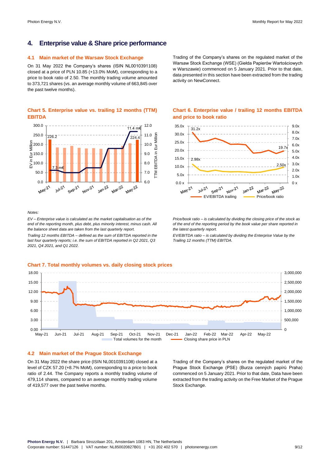# **4. Enterprise value & Share price performance**

#### **4.1 Main market of the Warsaw Stock Exchange**

On 31 May 2022 the Company's shares (ISIN NL0010391108) closed at a price of PLN 10.85 (+13.0% MoM), corresponding to a price to book ratio of 2.50. The monthly trading volume amounted to 373,721 shares (vs. an average monthly volume of 663,845 over the past twelve months).

#### **Chart 5. Enterprise value vs. trailing 12 months (TTM) EBITDA**



*Notes:*

*EV – Enterprise value is calculated as the market capitalisation as of the end of the reporting month, plus debt, plus minority interest, minus cash. All the balance sheet data are taken from the last quarterly report.*

*Trailing 12 months EBITDA – defined as the sum of EBITDA reported in the last four quarterly reports; i.e. the sum of EBITDA reported in Q2 2021, Q3 2021, Q4 2021, and Q1 2022.*

#### Trading of the Company's shares on the regulated market of the Warsaw Stock Exchange (WSE) (Giełda Papierów Wartościowych w Warszawie) commenced on 5 January 2021. Prior to that date, data presented in this section have been extracted from the trading activity on NewConnect.

#### **Chart 6. Enterprise value / trailing 12 months EBITDA and price to book ratio**



*Price/book ratio – is calculated by dividing the closing price of the stock as of the end of the reporting period by the book value per share reported in the latest quarterly report.*

*EV/EBITDA ratio – is calculated by dividing the Enterprise Value by the Trailing 12 months (TTM) EBITDA.*



### **4.2 Main market of the Prague Stock Exchange**

On 31 May 2022 the share price (ISIN NL0010391108) closed at a level of CZK 57.20 (+8.7% MoM), corresponding to a price to book ratio of 2.44. The Company reports a monthly trading volume of 479,114 shares, compared to an average monthly trading volume of 419,577 over the past twelve months.

Trading of the Company's shares on the regulated market of the Prague Stock Exchange (PSE) (Burza cenných papírů Praha) commenced on 5 January 2021. Prior to that date, Data have been extracted from the trading activity on the Free Market of the Prague Stock Exchange.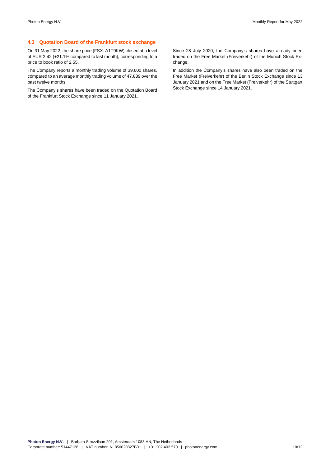### **4.3 Quotation Board of the Frankfurt stock exchange**

On 31 May 2022, the share price (FSX: A1T9KW) closed at a level of EUR 2.42 (+21.1% compared to last month), corresponding to a price to book ratio of 2.55.

The Company reports a monthly trading volume of 39,600 shares, compared to an average monthly trading volume of 47,889 over the past twelve months.

The Company's shares have been traded on the Quotation Board of the Frankfurt Stock Exchange since 11 January 2021.

Since 28 July 2020, the Company's shares have already been traded on the Free Market (Freiverkehr) of the Munich Stock Exchange.

In addition the Company's shares have also been traded on the Free Market (Freiverkehr) of the Berlin Stock Exchange since 13 January 2021 and on the Free Market (Freiverkehr) of the Stuttgart Stock Exchange since 14 January 2021.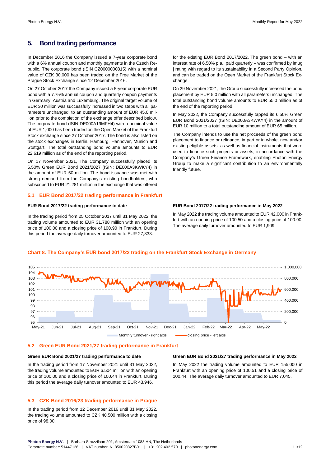# **5. Bond trading performance**

In December 2016 the Company issued a 7-year corporate bond with a 6% annual coupon and monthly payments in the Czech Republic. The corporate bond (ISIN CZ0000000815) with a nominal value of CZK 30,000 has been traded on the Free Market of the Prague Stock Exchange since 12 December 2016.

On 27 October 2017 the Company issued a 5-year corporate EUR bond with a 7.75% annual coupon and quarterly coupon payments in Germany, Austria and Luxemburg. The original target volume of EUR 30 million was successfully increased in two steps with all parameters unchanged, to an outstanding amount of EUR 45.0 million prior to the completion of the exchange offer described below. The corporate bond (ISIN DE000A19MFH4) with a nominal value of EUR 1,000 has been traded on the Open Market of the Frankfurt Stock exchange since 27 October 2017. The bond is also listed on the stock exchanges in Berlin, Hamburg, Hannover, Munich and Stuttgart. The total outstanding bond volume amounts to EUR 22.619 million as of the end of the reporting period.

On 17 November 2021, The Company successfully placed its 6.50% Green EUR Bond 2021/2027 (ISIN: DE000A3KWKY4) in the amount of EUR 50 million. The bond issuance was met with strong demand from the Company's existing bondholders, who subscribed to EUR 21.281 million in the exchange that was offered

#### **5.1 EUR Bond 2017/22 trading performance in Frankfurt**

#### **EUR Bond 2017/22 trading performance to date**

In the trading period from 25 October 2017 until 31 May 2022, the trading volume amounted to EUR 31.788 million with an opening price of 100.00 and a closing price of 100.90 in Frankfurt. During this period the average daily turnover amounted to EUR 27,333.

for the existing EUR Bond 2017/2022. The green bond – with an interest rate of 6.50% p.a., paid quarterly – was confirmed by imug | rating with regard to its sustainability in a Second Party Opinion, and can be traded on the Open Market of the Frankfurt Stock Exchange.

On 29 November 2021, the Group successfully increased the bond placement by EUR 5.0 million with all parameters unchanged. The total outstanding bond volume amounts to EUR 55.0 million as of the end of the reporting period.

In May 2022, the Company successfully tapped its 6.50% Green EUR Bond 2021/2027 (ISIN: DE000A3KWKY4) in the amount of EUR 10 million to a total outstanding amount of EUR 65 million.

The Company intends to use the net proceeds of the green bond placement to finance or refinance, in part or in whole, new and/or existing eligible assets, as well as financial instruments that were used to finance such projects or assets, in accordance with the Company's Green Finance Framework, enabling Photon Energy Group to make a significant contribution to an environmentally friendly future.

#### **EUR Bond 2017/22 trading performance in May 2022**

In May 2022 the trading volume amounted to EUR 42,000 in Frankfurt with an opening price of 100.50 and a closing price of 100.90. The average daily turnover amounted to EUR 1,909.

#### **Chart 8. The Company's EUR bond 2017/22 trading on the Frankfurt Stock Exchange in Germany**

 $\Omega$ 200,000 400,000 600,000 800,000 1,000,000 95 96 **97** 98 99 100 101  $102$ 103 104 105 May-21 Jun-21 Jul-21 Aug-21 Sep-21 Oct-21 Nov-21 Dec-21 Jan-22 Feb-22 Mar-22 Apr-22 May-22 Monthly turnover - right axis closing price - left axis

#### **5.2 Green EUR Bond 2021/27 trading performance in Frankfurt**

#### **Green EUR Bond 2021/27 trading performance to date**

In the trading period from 17 November 2021 until 31 May 2022, the trading volume amounted to EUR 6.504 million with an opening price of 100.00 and a closing price of 100.44 in Frankfurt. During this period the average daily turnover amounted to EUR 43,946.

#### **5.3 CZK Bond 2016/23 trading performance in Prague**

In the trading period from 12 December 2016 until 31 May 2022, the trading volume amounted to CZK 40.500 million with a closing price of 98.00.

#### **Green EUR Bond 2021/27 trading performance in May 2022**

In May 2022 the trading volume amounted to EUR 155,000 in Frankfurt with an opening price of 100.51 and a closing price of 100.44. The average daily turnover amounted to EUR 7,045.